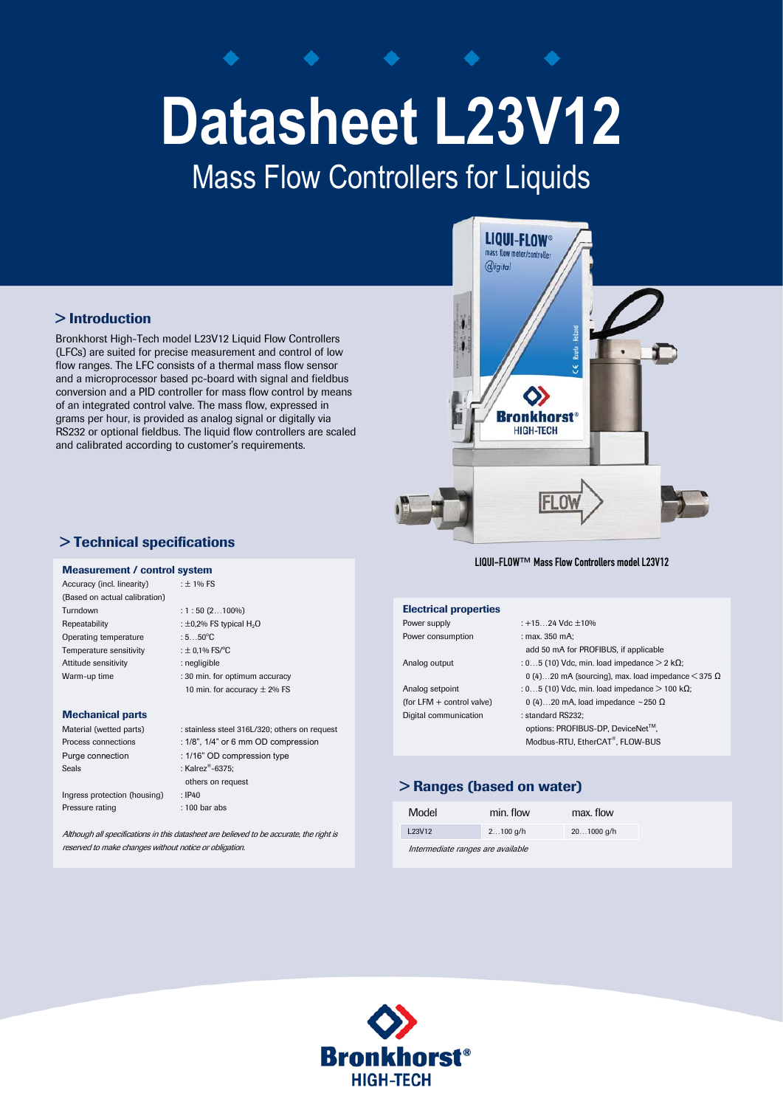# **Datasheet L23V12**

## Mass Flow Controllers for Liquids

#### > Introduction

Bronkhorst High-Tech model L23V12 Liquid Flow Controllers (LFCs) are suited for precise measurement and control of low flow ranges. The LFC consists of a thermal mass flow sensor and a microprocessor based pc-board with signal and fieldbus conversion and a PID controller for mass flow control by means of an integrated control valve. The mass flow, expressed in grams per hour, is provided as analog signal or digitally via RS232 or optional fieldbus. The liquid flow controllers are scaled and calibrated according to customer's requirements.



LIQUI-FLOW™ Mass Flow Controllers model L23V12

| <b>Electrical properties</b> |                                                                |
|------------------------------|----------------------------------------------------------------|
| Power supply                 | $: +1524$ Vdc $\pm 10\%$                                       |
| Power consumption            | : max. 350 mA:                                                 |
|                              | add 50 mA for PROFIBUS, if applicable                          |
| Analog output                | : 05 (10) Vdc, min. load impedance $>$ 2 k $\Omega$ ;          |
|                              | 0 (4)20 mA (sourcing), max. load impedance $\leq$ 375 $\Omega$ |
| Analog setpoint              | : 05 (10) Vdc, min. load impedance $>$ 100 k $\Omega$ ;        |
| (for LFM $+$ control valve)  | 0 (4)20 mA, load impedance ~250 $\Omega$                       |
| Digital communication        | : standard RS232:                                              |
|                              | options: PROFIBUS-DP, DeviceNet™,                              |
|                              | Modbus-RTU, EtherCAT®, FLOW-BUS                                |
|                              |                                                                |

#### > Ranges (based on water)

| Model                             | min. flow  | max. flow  |
|-----------------------------------|------------|------------|
| L23V12                            | $2100$ g/h | 201000 g/h |
| Intermediate ranges are available |            |            |



#### > Technical specifications

### **Measurement / control system**<br>Accuracy (incl. linearity)  $\qquad \qquad : \pm 1\%$  FS

Accuracy (incl. linearity) (Based on actual calibration) Turndown : 1 : 50 (2…100%) Repeatability  $\pm 0.2\%$  FS typical  $H_2O$ Operating temperature Temperature sensitivity  $\pm 0.1\%$  FS/°C Attitude sensitivity **:** negligible

 $:5...50^{\circ}$ C Warm-up time : 30 min. for optimum accuracy 10 min. for accuracy  $\pm$  2% FS

#### Mechanical parts

| Material (wetted parts)      | : stainless steel 316L/320; others on request |
|------------------------------|-----------------------------------------------|
| Process connections          | $: 1/8$ ", $1/4$ " or 6 mm OD compression     |
| Purge connection             | : 1/16" OD compression type                   |
| Seals                        | : Kalrez <sup>®</sup> -6375;                  |
|                              | others on request                             |
| Ingress protection (housing) | : IP40                                        |
| Pressure rating              | $: 100$ bar abs                               |

Although all specifications in this datasheet are believed to be accurate, the right is reserved to make changes without notice or obligation.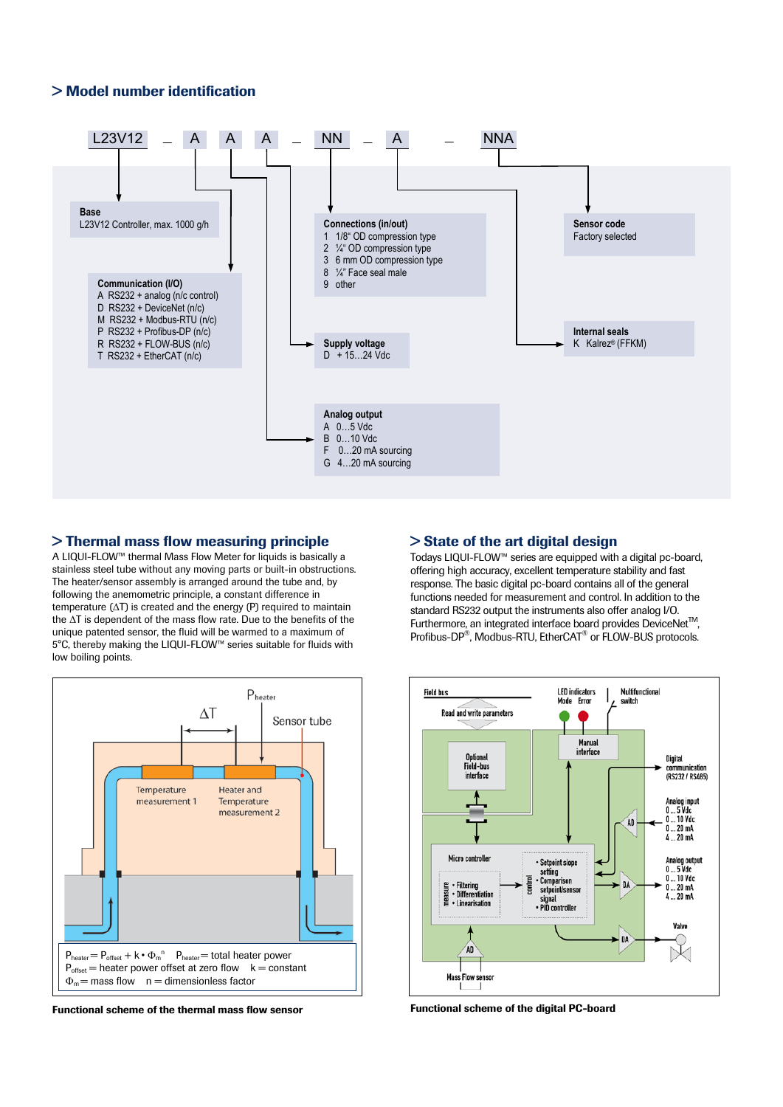#### > Model number identification



#### > Thermal mass flow measuring principle

A LIQUI-FLOW™ thermal Mass Flow Meter for liquids is basically a stainless steel tube without any moving parts or built-in obstructions. The heater/sensor assembly is arranged around the tube and, by following the anemometric principle, a constant difference in temperature (ΔT) is created and the energy (P) required to maintain the ΔT is dependent of the mass flow rate. Due to the benefits of the unique patented sensor, the fluid will be warmed to a maximum of 5°C, thereby making the LIQUI-FLOW™ series suitable for fluids with low boiling points.



Functional scheme of the thermal mass flow sensor

#### > State of the art digital design

Todays LIQUI-FLOW™ series are equipped with a digital pc-board, offering high accuracy, excellent temperature stability and fast response. The basic digital pc-board contains all of the general functions needed for measurement and control. In addition to the standard RS232 output the instruments also offer analog I/O. Furthermore, an integrated interface board provides DeviceNet<sup>™</sup>. Profibus-DP®, Modbus-RTU, EtherCAT® or FLOW-BUS protocols.



Functional scheme of the digital PC-board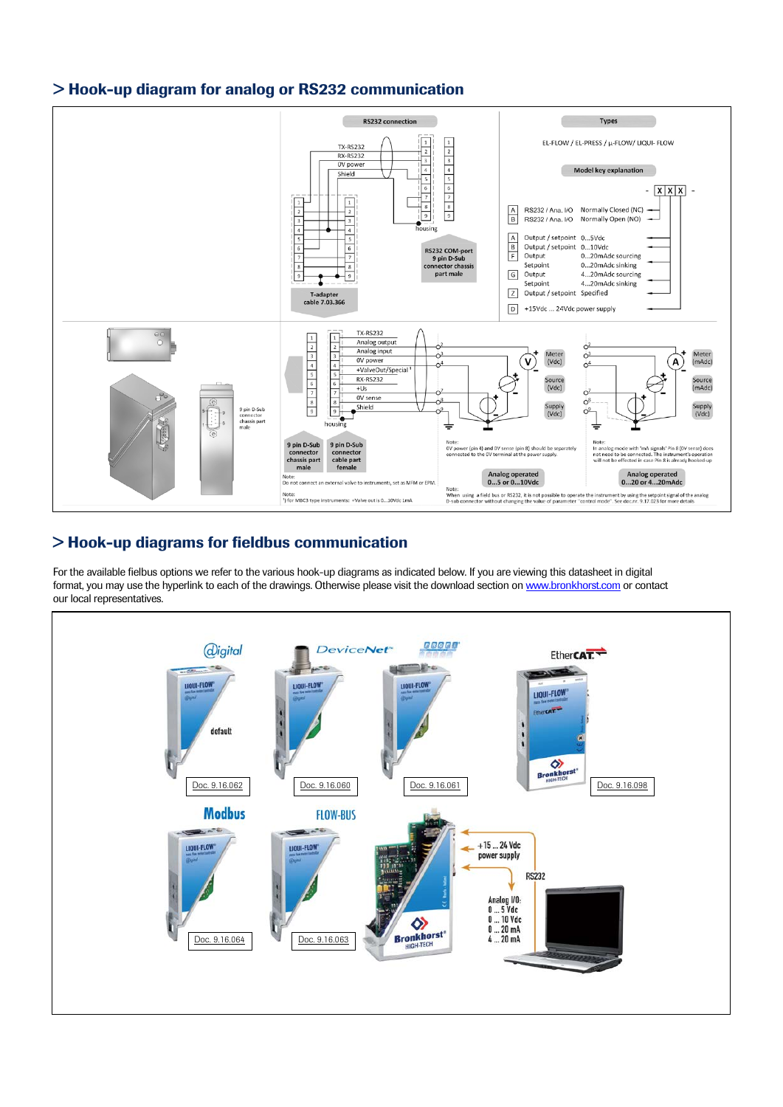#### > Hook-up diagram for analog or RS232 communication



#### > Hook-up diagrams for fieldbus communication

For the available fielbus options we refer to the various hook-up diagrams as indicated below. If you are viewing this datasheet in digital format, you may use the hyperlink to each of the drawings. Otherwise please visit the download section o[n www.bronkhorst.com](http://www.bronkhorst.com/en/downloads/instruction_manuals/) or contact our local representatives.